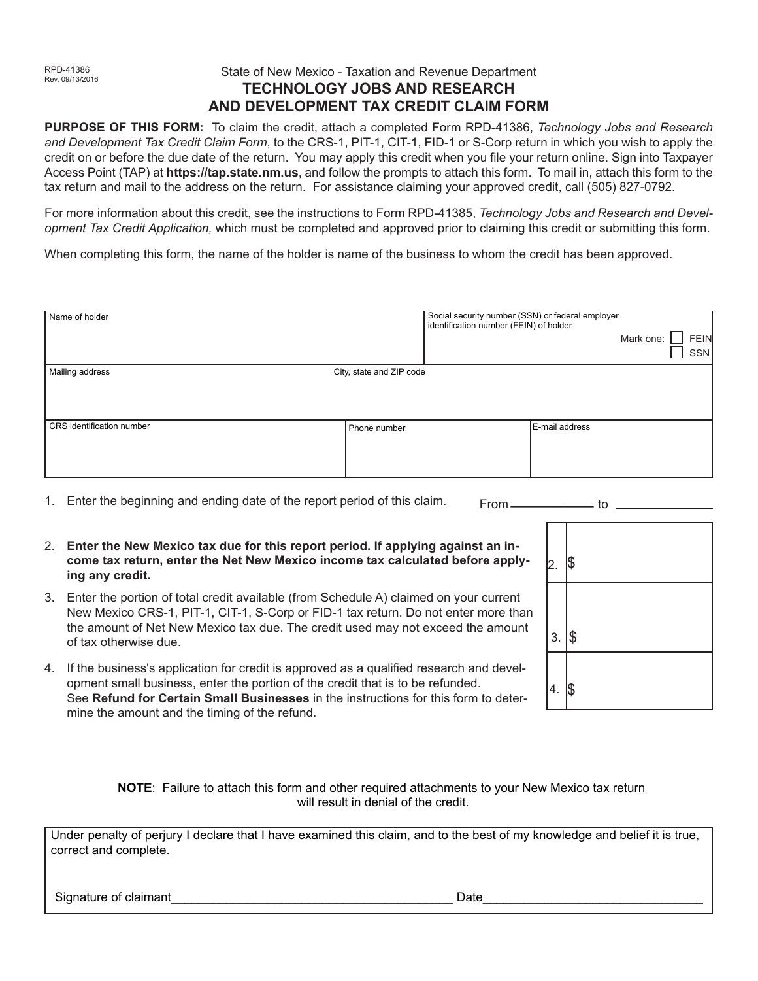# State of New Mexico - Taxation and Revenue Department **TECHNOLOGY JOBS AND RESEARCH AND DEVELOPMENT TAX CREDIT CLAIM FORM**

**PURPOSE OF THIS FORM:** To claim the credit, attach a completed Form RPD-41386, *Technology Jobs and Research and Development Tax Credit Claim Form*, to the CRS-1, PIT-1, CIT-1, FID-1 or S-Corp return in which you wish to apply the credit on or before the due date of the return. You may apply this credit when you file your return online. Sign into Taxpayer Access Point (TAP) at **https://tap.state.nm.us**, and follow the prompts to attach this form. To mail in, attach this form to the tax return and mail to the address on the return. For assistance claiming your approved credit, call (505) 827-0792.

For more information about this credit, see the instructions to Form RPD-41385, *Technology Jobs and Research and Development Tax Credit Application,* which must be completed and approved prior to claiming this credit or submitting this form.

When completing this form, the name of the holder is name of the business to whom the credit has been approved.

| Name of holder            |                          | Social security number (SSN) or federal employer<br>identification number (FEIN) of holder |                | Mark one: FEIN | SSN |
|---------------------------|--------------------------|--------------------------------------------------------------------------------------------|----------------|----------------|-----|
| Mailing address           | City, state and ZIP code |                                                                                            |                |                |     |
| CRS identification number | Phone number             |                                                                                            | E-mail address |                |     |

- 1. Enter the beginning and ending date of the report period of this claim.  $From$   $\qquad$  to  $\qquad$
- 2. **Enter the New Mexico tax due for this report period. If applying against an income tax return, enter the Net New Mexico income tax calculated before applying any credit.**
- 3. Enter the portion of total credit available (from Schedule A) claimed on your current New Mexico CRS-1, PIT-1, CIT-1, S-Corp or FID-1 tax return. Do not enter more than the amount of Net New Mexico tax due. The credit used may not exceed the amount of tax otherwise due.
- 4. If the business's application for credit is approved as a qualified research and development small business, enter the portion of the credit that is to be refunded. See **Refund for Certain Small Businesses** in the instructions for this form to determine the amount and the timing of the refund.

| 2.8              |  |
|------------------|--|
| 3.5              |  |
| $4. \,$ $\sqrt$$ |  |

**NOTE**: Failure to attach this form and other required attachments to your New Mexico tax return will result in denial of the credit.

Under penalty of perjury I declare that I have examined this claim, and to the best of my knowledge and belief it is true, correct and complete.

Signature of claimant\_\_\_\_\_\_\_\_\_\_\_\_\_\_\_\_\_\_\_\_\_\_\_\_\_\_\_\_\_\_\_\_\_\_\_\_\_\_\_\_\_ Date\_\_\_\_\_\_\_\_\_\_\_\_\_\_\_\_\_\_\_\_\_\_\_\_\_\_\_\_\_\_\_\_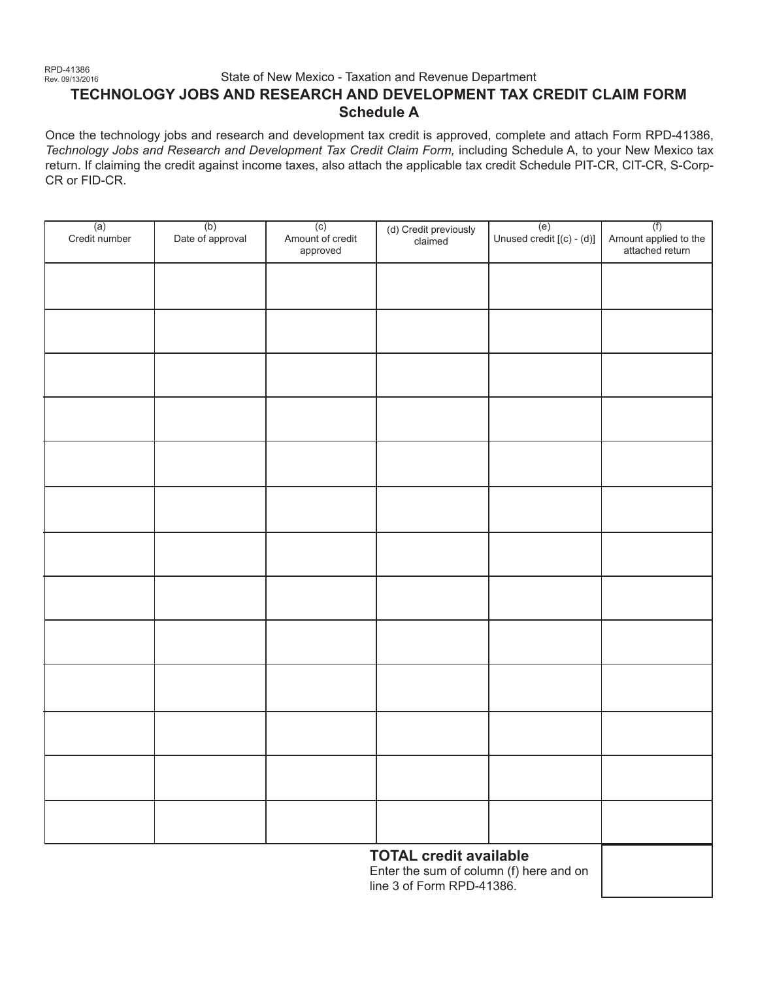## State of New Mexico - Taxation and Revenue Department **TECHNOLOGY JOBS AND RESEARCH AND DEVELOPMENT TAX CREDIT CLAIM FORM Schedule A**

Once the technology jobs and research and development tax credit is approved, complete and attach Form RPD-41386, *Technology Jobs and Research and Development Tax Credit Claim Form,* including Schedule A, to your New Mexico tax return. If claiming the credit against income taxes, also attach the applicable tax credit Schedule PIT-CR, CIT-CR, S-Corp-CR or FID-CR.

| $(a)$<br>Credit number                                                   | (b)<br>Date of approval | (c)<br>Amount of credit<br>approved | (d) Credit previously<br>claimed | (e)<br>Unused credit $[(c) - (d)]$ | (f)<br>Amount applied to the<br>attached return |  |  |  |
|--------------------------------------------------------------------------|-------------------------|-------------------------------------|----------------------------------|------------------------------------|-------------------------------------------------|--|--|--|
|                                                                          |                         |                                     |                                  |                                    |                                                 |  |  |  |
|                                                                          |                         |                                     |                                  |                                    |                                                 |  |  |  |
|                                                                          |                         |                                     |                                  |                                    |                                                 |  |  |  |
|                                                                          |                         |                                     |                                  |                                    |                                                 |  |  |  |
|                                                                          |                         |                                     |                                  |                                    |                                                 |  |  |  |
|                                                                          |                         |                                     |                                  |                                    |                                                 |  |  |  |
|                                                                          |                         |                                     |                                  |                                    |                                                 |  |  |  |
|                                                                          |                         |                                     |                                  |                                    |                                                 |  |  |  |
|                                                                          |                         |                                     |                                  |                                    |                                                 |  |  |  |
|                                                                          |                         |                                     |                                  |                                    |                                                 |  |  |  |
|                                                                          |                         |                                     |                                  |                                    |                                                 |  |  |  |
|                                                                          |                         |                                     |                                  |                                    |                                                 |  |  |  |
|                                                                          |                         |                                     |                                  |                                    |                                                 |  |  |  |
| <b>TOTAL credit available</b><br>Enter the sum of column (f) here and on |                         |                                     |                                  |                                    |                                                 |  |  |  |

Enter the sum of column (f) here and on line 3 of Form RPD-41386.